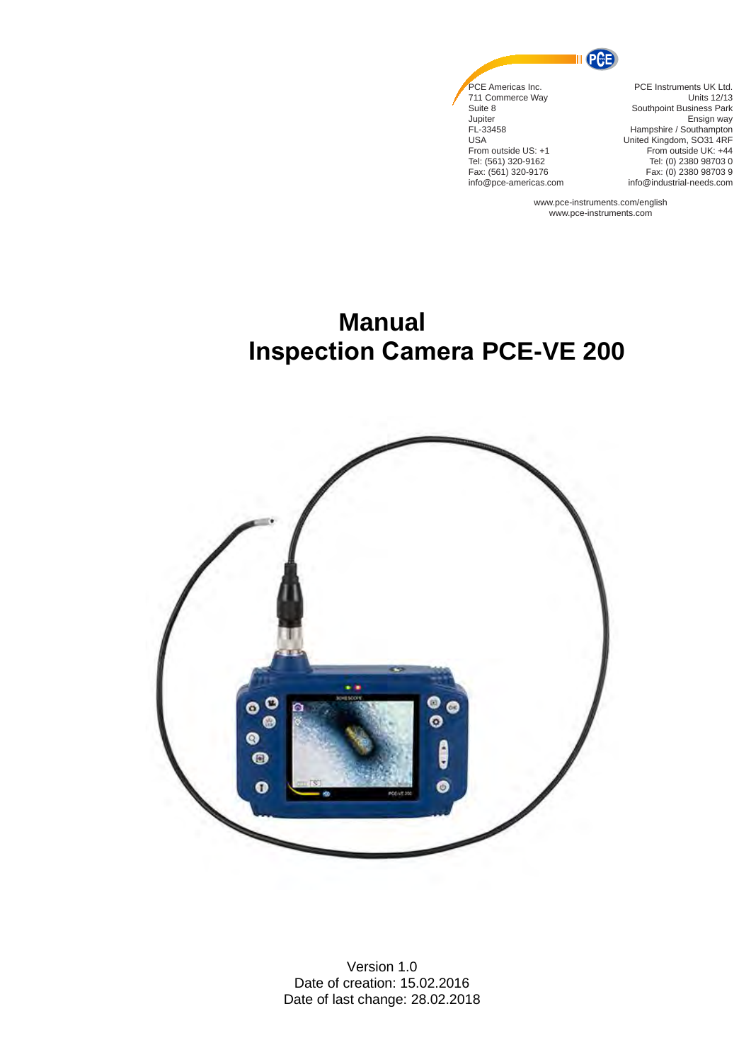

info@pce-americas.com

PCE Instruments UK Ltd. Units 12/13 Southpoint Business Park Ensign way Hampshire / Southampton United Kingdom, SO31 4RF From outside UK: +44 Tel: (0) 2380 98703 0 Fax: (0) 2380 98703 9 info@industrial-needs.com

www.pce-instruments.com/english www.pce-instruments.com

# **Manual Inspection Camera PCE-VE 200**



Version 1.0 Date of creation: 15.02.2016 Date of last change: 28.02.2018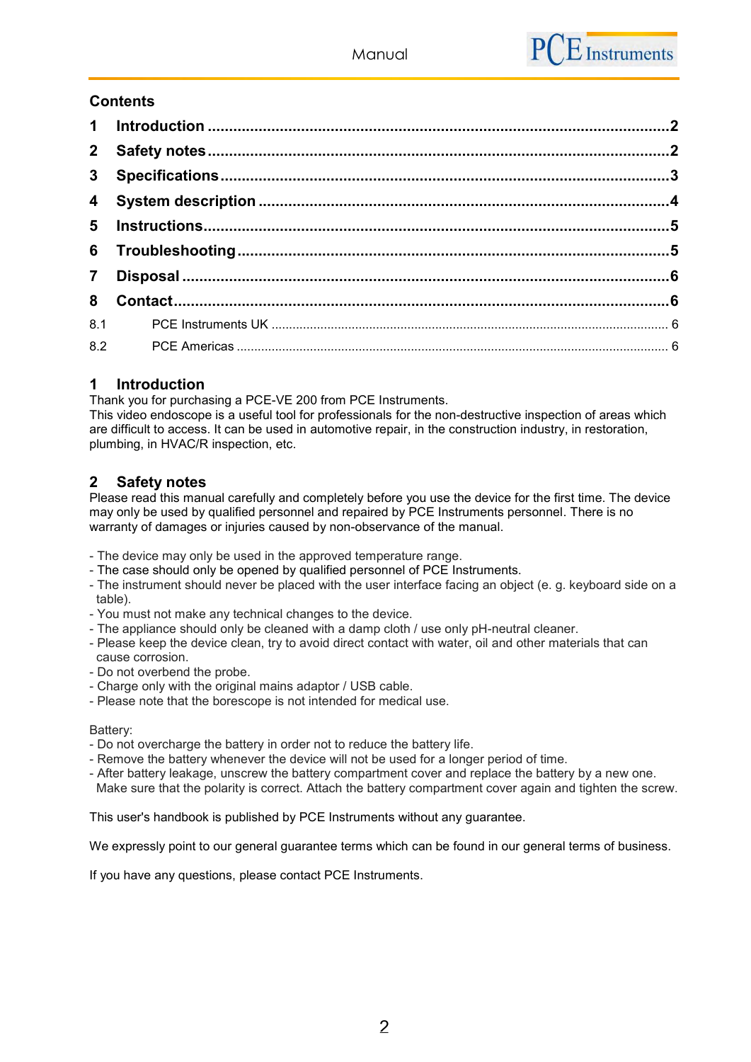# **Contents**

| 8 |  |
|---|--|
|   |  |
|   |  |

# <span id="page-1-0"></span>**1 Introduction**

Thank you for purchasing a PCE-VE 200 from PCE Instruments.

This video endoscope is a useful tool for professionals for the non-destructive inspection of areas which are difficult to access. It can be used in automotive repair, in the construction industry, in restoration, plumbing, in HVAC/R inspection, etc.

# <span id="page-1-1"></span>**2 Safety notes**

Please read this manual carefully and completely before you use the device for the first time. The device may only be used by qualified personnel and repaired by PCE Instruments personnel. There is no warranty of damages or injuries caused by non-observance of the manual.

- The device may only be used in the approved temperature range.
- The case should only be opened by qualified personnel of PCE Instruments.
- The instrument should never be placed with the user interface facing an object (e. g. keyboard side on a table).
- You must not make any technical changes to the device.
- The appliance should only be cleaned with a damp cloth / use only pH-neutral cleaner.
- Please keep the device clean, try to avoid direct contact with water, oil and other materials that can cause corrosion.
- Do not overbend the probe.
- Charge only with the original mains adaptor / USB cable.
- Please note that the borescope is not intended for medical use.

Battery:

- Do not overcharge the battery in order not to reduce the battery life.
- Remove the battery whenever the device will not be used for a longer period of time.
- After battery leakage, unscrew the battery compartment cover and replace the battery by a new one. Make sure that the polarity is correct. Attach the battery compartment cover again and tighten the screw.

This user's handbook is published by PCE Instruments without any guarantee.

We expressly point to our general guarantee terms which can be found in our general terms of business.

If you have any questions, please contact PCE Instruments.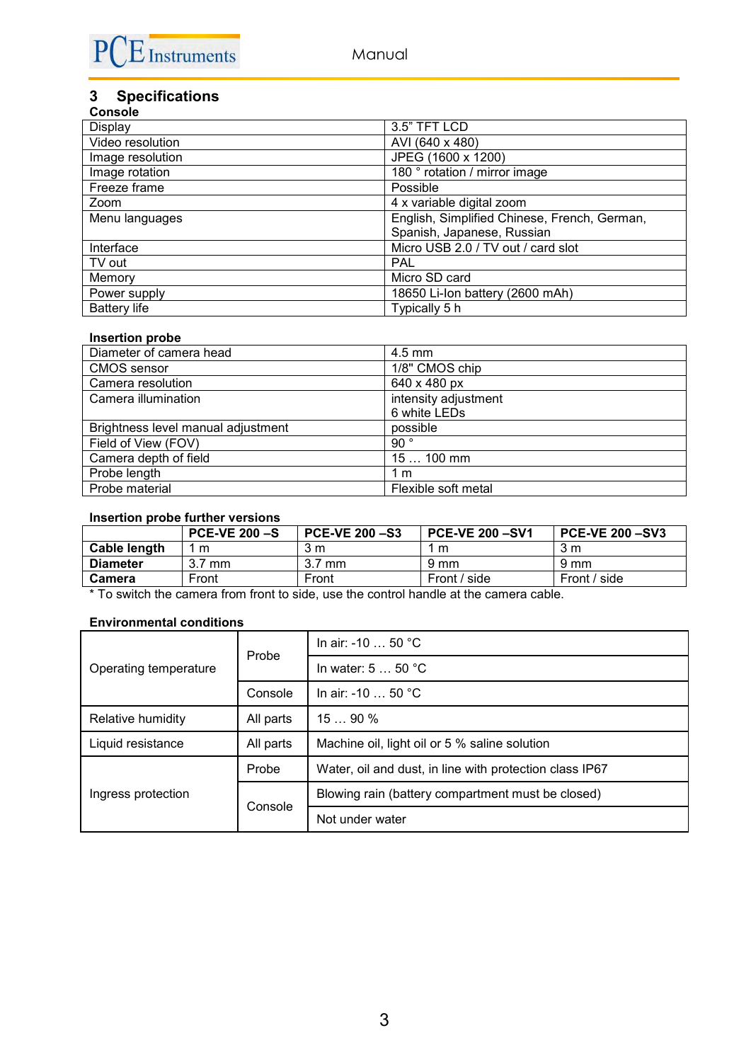

# <span id="page-2-0"></span>**3 Specifications**

| <b>Console</b>      |                                              |
|---------------------|----------------------------------------------|
| Display             | 3.5" TFT LCD                                 |
| Video resolution    | AVI (640 x 480)                              |
| Image resolution    | JPEG (1600 x 1200)                           |
| Image rotation      | 180 ° rotation / mirror image                |
| Freeze frame        | Possible                                     |
| Zoom                | 4 x variable digital zoom                    |
| Menu languages      | English, Simplified Chinese, French, German, |
|                     | Spanish, Japanese, Russian                   |
| Interface           | Micro USB 2.0 / TV out / card slot           |
| TV out              | <b>PAL</b>                                   |
| Memory              | Micro SD card                                |
| Power supply        | 18650 Li-Ion battery (2600 mAh)              |
| <b>Battery life</b> | Typically 5 h                                |

#### **Insertion probe**

| Diameter of camera head            | $4.5$ mm             |
|------------------------------------|----------------------|
| <b>CMOS</b> sensor                 | 1/8" CMOS chip       |
| Camera resolution                  | 640 x 480 px         |
| Camera illumination                | intensity adjustment |
|                                    | 6 white LEDs         |
| Brightness level manual adjustment | possible             |
| Field of View (FOV)                | 90 $^{\circ}$        |
| Camera depth of field              | 15  100 mm           |
| Probe length                       | 1 m                  |
| Probe material                     | Flexible soft metal  |

## **Insertion probe further versions**

|                 | PCE-VE $200 - S$ | <b>PCE-VE 200 -S3</b> | <b>PCE-VE 200-SV1</b> | <b>PCE-VE 200-SV3</b> |
|-----------------|------------------|-----------------------|-----------------------|-----------------------|
| Cable length    | m                | 3 m                   | m                     | 3 m                   |
| <b>Diameter</b> | mm               | mm                    | $9 \text{ mm}$        | 9 mm                  |
| Camera          | Front            | Front                 | Front / side          | Front / side          |

\* To switch the camera from front to side, use the control handle at the camera cable.

## **Environmental conditions**

|                       | Probe     | In air: -10  50 °C                                      |  |
|-----------------------|-----------|---------------------------------------------------------|--|
| Operating temperature |           | In water: $550$ °C                                      |  |
|                       | Console   | In air: -10 $\dots$ 50 °C                               |  |
| Relative humidity     | All parts | 1590%                                                   |  |
| Liquid resistance     | All parts | Machine oil, light oil or 5 % saline solution           |  |
|                       | Probe     | Water, oil and dust, in line with protection class IP67 |  |
| Ingress protection    | Console   | Blowing rain (battery compartment must be closed)       |  |
|                       |           | Not under water                                         |  |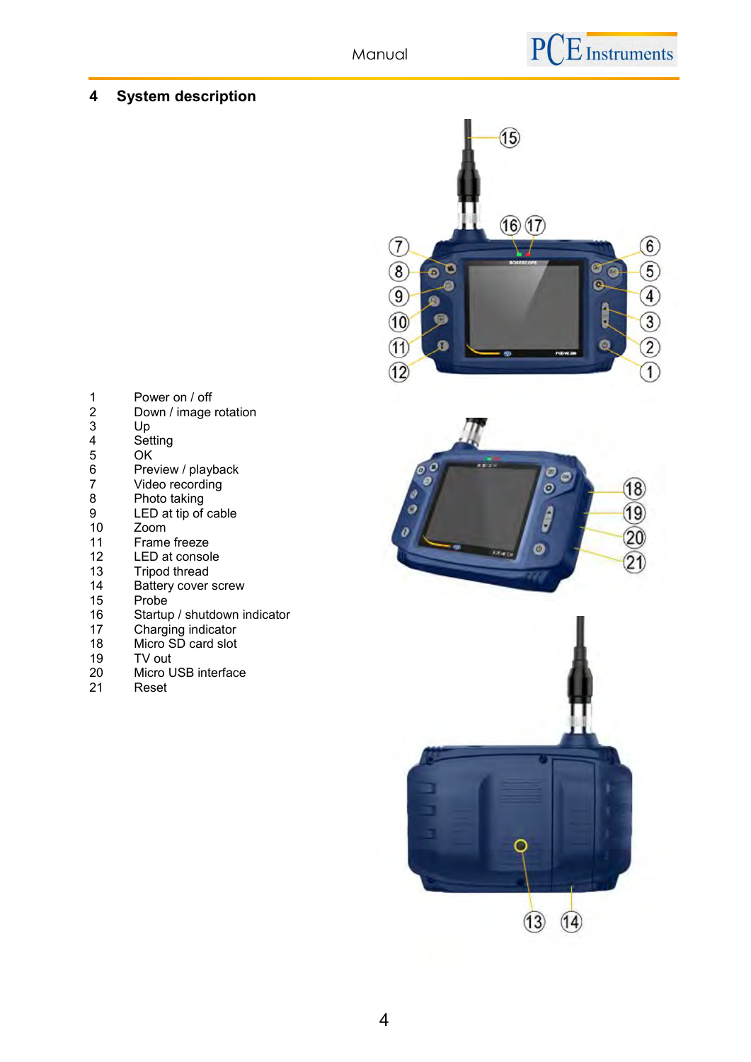# <span id="page-3-0"></span>**4 System description**



- 1 Power on / off<br>2 Down / image 2 Down / image rotation<br>3 Up 3 Up 4 Setting<br>5 OK 5 OK<br>6 Pre<br>7 Vide 6 Preview / playback
- 7 Video recording
- 8 Photo taking<br>9 LED at tip of 9 LED at tip of cable<br>10 Zoom
- 
- 10 Zoom<br>11 Frame
- 11 Frame freeze<br>12 LED at consol
- 12 LED at console<br>13 Tripod thread
- 13 Tripod thread<br>14 Battery cover 14 Battery cover screw<br>15 Probe
- 15 Probe<sup>1</sup><br>16 Startuj
- 16 Startup / shutdown indicator<br>17 Charging indicator
- 17 Charging indicator<br>18 Micro SD card slot
- 18 Micro SD card slot<br>19 TV out
- 19 TV out<br>20 Micro I
- 20 Micro USB interface<br>21 Reset
- **Reset**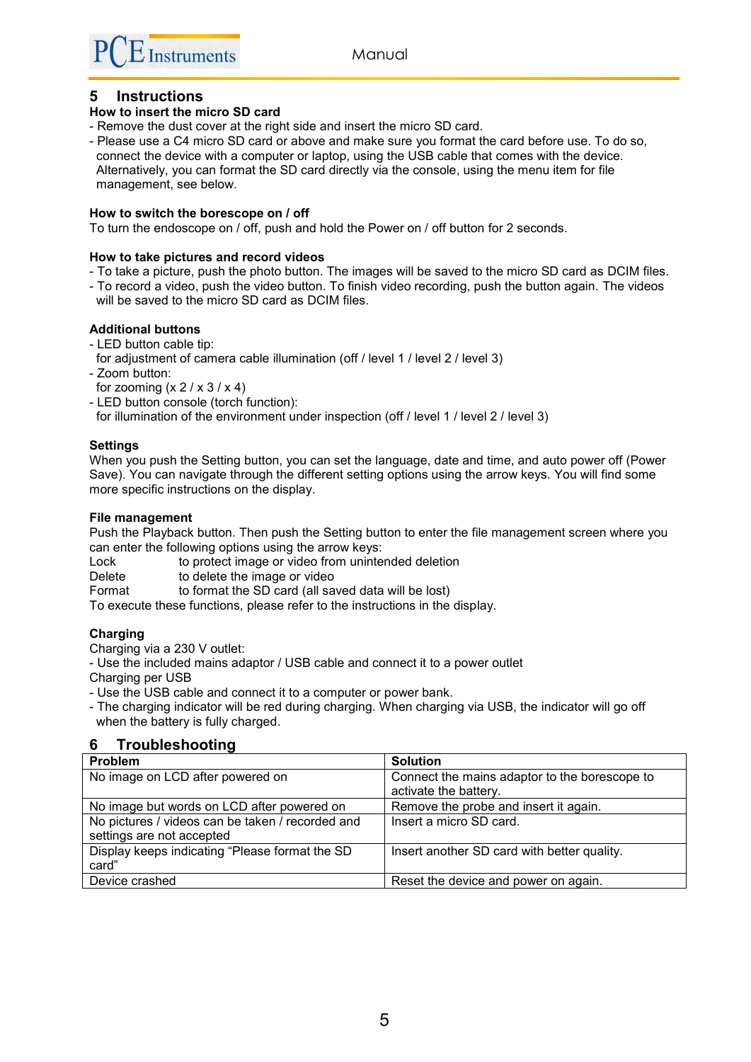# <span id="page-4-0"></span>**5 Instructions**

## **How to insert the micro SD card**

- Remove the dust cover at the right side and insert the micro SD card.
- Please use a C4 micro SD card or above and make sure you format the card before use. To do so, connect the device with a computer or laptop, using the USB cable that comes with the device. Alternatively, you can format the SD card directly via the console, using the menu item for file management, see below.

#### **How to switch the borescope on / off**

To turn the endoscope on / off, push and hold the Power on / off button for 2 seconds.

#### **How to take pictures and record videos**

- To take a picture, push the photo button. The images will be saved to the micro SD card as DCIM files.
- To record a video, push the video button. To finish video recording, push the button again. The videos will be saved to the micro SD card as DCIM files.

#### **Additional buttons**

- LED button cable tip:
- for adjustment of camera cable illumination (off / level 1 / level 2 / level 3)
- Zoom button:
- for zooming  $(x 2 / x 3 / x 4)$
- LED button console (torch function):

for illumination of the environment under inspection (off / level 1 / level 2 / level 3)

#### **Settings**

When you push the Setting button, you can set the language, date and time, and auto power off (Power Save). You can navigate through the different setting options using the arrow keys. You will find some more specific instructions on the display.

#### **File management**

Push the Playback button. Then push the Setting button to enter the file management screen where you can enter the following options using the arrow keys:

Lock to protect image or video from unintended deletion

Delete to delete the image or video

Format to format the SD card (all saved data will be lost)

To execute these functions, please refer to the instructions in the display.

## **Charging**

Charging via a 230 V outlet:

- Use the included mains adaptor / USB cable and connect it to a power outlet Charging per USB

- Use the USB cable and connect it to a computer or power bank.

- The charging indicator will be red during charging. When charging via USB, the indicator will go off when the battery is fully charged.

# <span id="page-4-1"></span>**6 Troubleshooting**

| <b>Problem</b>                                   | <b>Solution</b>                                                        |
|--------------------------------------------------|------------------------------------------------------------------------|
| No image on LCD after powered on                 | Connect the mains adaptor to the borescope to<br>activate the battery. |
| No image but words on LCD after powered on       | Remove the probe and insert it again.                                  |
| No pictures / videos can be taken / recorded and | Insert a micro SD card.                                                |
| settings are not accepted                        |                                                                        |
| Display keeps indicating "Please format the SD   | Insert another SD card with better quality.                            |
| card"                                            |                                                                        |
| Device crashed                                   | Reset the device and power on again.                                   |